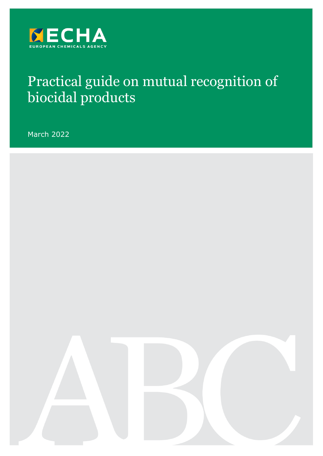

# Practical guide on mutual recognition of biocidal products

March 2022

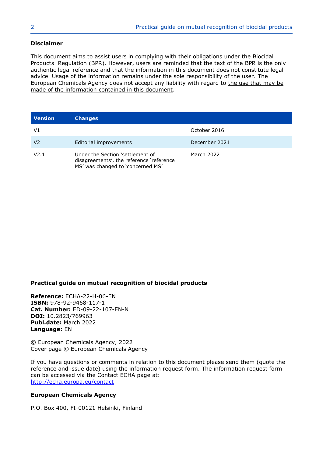#### **Disclaimer**

This document aims to assist users in complying with their obligations under the Biocidal Products Regulation (BPR). However, users are reminded that the text of the BPR is the only authentic legal reference and that the information in this document does not constitute legal advice. Usage of the information remains under the sole responsibility of the user. The European Chemicals Agency does not accept any liability with regard to the use that may be made of the information contained in this document.

| <b>Version</b> | <b>Changes</b>                                                                                                    |               |
|----------------|-------------------------------------------------------------------------------------------------------------------|---------------|
| V1             |                                                                                                                   | October 2016  |
| V2             | Editorial improvements                                                                                            | December 2021 |
| V2.1           | Under the Section 'settlement of<br>disagreements', the reference 'reference<br>MS' was changed to 'concerned MS' | March 2022    |

#### **Practical guide on mutual recognition of biocidal products**

**Reference:** ECHA-22-H-06-EN **ISBN:** 978-92-9468-117-1 **Cat. Number:** ED-09-22-107-EN-N **DOI:** 10.2823/769963 **Publ.date:** March 2022 **Language:** EN

© European Chemicals Agency, 2022 Cover page © European Chemicals Agency

If you have questions or comments in relation to this document please send them (quote the reference and issue date) using the information request form. The information request form can be accessed via the Contact ECHA page at: <http://echa.europa.eu/contact>

#### **European Chemicals Agency**

P.O. Box 400, FI-00121 Helsinki, Finland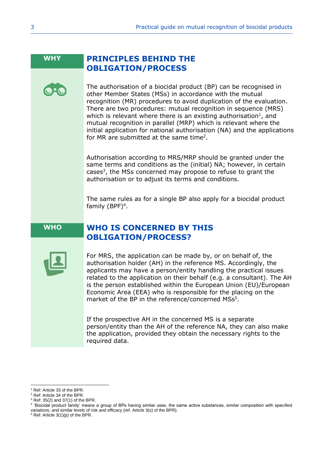# **WHY PRINCIPLES BEHIND THE OBLIGATION/PROCESS**

The authorisation of a biocidal product (BP) can be recognised in other Member States (MSs) in accordance with the mutual recognition (MR) procedures to avoid duplication of the evaluation. There are two procedures: mutual recognition in sequence (MRS) which is relevant where there is an existing authorisation<sup>1</sup>, and mutual recognition in parallel (MRP) which is relevant where the initial application for national authorisation (NA) and the applications for MR are submitted at the same time<sup>2</sup>.

Authorisation according to MRS/MRP should be granted under the same terms and conditions as the (initial) NA; however, in certain cases<sup>3</sup>, the MSs concerned may propose to refuse to grant the authorisation or to adjust its terms and conditions.

The same rules as for a single BP also apply for a biocidal product family  $(BPF)^4$ .

# **WHO WHO IS CONCERNED BY THIS OBLIGATION/PROCESS?**



For MRS, the application can be made by, or on behalf of, the authorisation holder (AH) in the reference MS. Accordingly, the applicants may have a person/entity handling the practical issues related to the application on their behalf (e.g. a consultant). The AH is the person established within the European Union (EU)/European Economic Area (EEA) who is responsible for the placing on the market of the BP in the reference/concerned MSs<sup>5</sup>.

If the prospective AH in the concerned MS is a separate person/entity than the AH of the reference NA, they can also make the application, provided they obtain the necessary rights to the required data.

<sup>1</sup> Ref: Article 33 of the BPR.

<sup>2</sup> Ref: Article 34 of the BPR.

 $3$  Ref: 35(2) and 37(1) of the BPR.

<sup>4</sup> 'Biocidal product family' means a group of BPs having similar uses, the same active substances, similar composition with specified variations, and similar levels of risk and efficacy (ref. Article 3(s) of the BPR).

 $5$  Ref: Article 3(1)(p) of the BPR.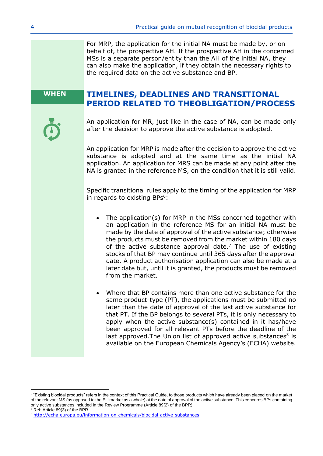For MRP, the application for the initial NA must be made by, or on behalf of, the prospective AH. If the prospective AH in the concerned MSs is a separate person/entity than the AH of the initial NA, they can also make the application, if they obtain the necessary rights to the required data on the active substance and BP.

# **WHEN TIMELINES, DEADLINES AND TRANSITIONAL PERIOD RELATED TO THEOBLIGATION/PROCESS**

An application for MR, just like in the case of NA, can be made only after the decision to approve the active substance is adopted.

An application for MRP is made after the decision to approve the active substance is adopted and at the same time as the initial NA application. An application for MRS can be made at any point after the NA is granted in the reference MS, on the condition that it is still valid.

Specific transitional rules apply to the timing of the application for MRP in regards to existing BPs<sup>6</sup>:

- The application(s) for MRP in the MSs concerned together with an application in the reference MS for an initial NA must be made by the date of approval of the active substance; otherwise the products must be removed from the market within 180 days of the active substance approval date.<sup>7</sup> The use of existing stocks of that BP may continue until 365 days after the approval date. A product authorisation application can also be made at a later date but, until it is granted, the products must be removed from the market.
- Where that BP contains more than one active substance for the same product-type (PT), the applications must be submitted no later than the date of approval of the last active substance for that PT. If the BP belongs to several PTs, it is only necessary to apply when the active substance(s) contained in it has/have been approved for all relevant PTs before the deadline of the last approved. The Union list of approved active substances $8$  is available on the European Chemicals Agency's (ECHA) website.

 $6$  "Existing biocidal products" refers in the context of this Practical Guide, to those products which have already been placed on the market of the relevant MS (as opposed to the EU market as a whole) at the date of approval of the active substance. This concerns BPs containing only active substances included in the Review Programme (Article 89(2) of the BPR).  $7$  Ref: Article 89(3) of the BPR.

<sup>8</sup> <http://echa.europa.eu/information-on-chemicals/biocidal-active-substances>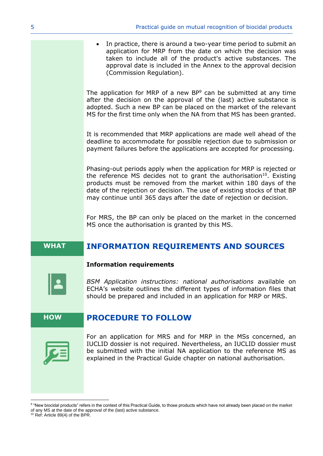In practice, there is around a two-year time period to submit an application for MRP from the date on which the decision was taken to include all of the product's active substances. The approval date is included in the Annex to the approval decision (Commission Regulation).

The application for MRP of a new BP<sup>9</sup> can be submitted at any time after the decision on the approval of the (last) active substance is adopted. Such a new BP can be placed on the market of the relevant MS for the first time only when the NA from that MS has been granted.

It is recommended that MRP applications are made well ahead of the deadline to accommodate for possible rejection due to submission or payment failures before the applications are accepted for processing.

Phasing-out periods apply when the application for MRP is rejected or the reference MS decides not to grant the authorisation<sup>10</sup>. Existing products must be removed from the market within 180 days of the date of the rejection or decision. The use of existing stocks of that BP may continue until 365 days after the date of rejection or decision.

For MRS, the BP can only be placed on the market in the concerned MS once the authorisation is granted by this MS.

# **WHAT INFORMATION REQUIREMENTS AND SOURCES**



#### **Information requirements**

*BSM Application instructions: national authorisations* available on ECHA's website outlines the different types of information files that should be prepared and included in an application for MRP or MRS.

# **HOW PROCEDURE TO FOLLOW**



For an application for MRS and for MRP in the MSs concerned, an IUCLID dossier is not required. Nevertheless, an IUCLID dossier must be submitted with the initial NA application to the reference MS as explained in the Practical Guide chapter on national authorisation.

<sup>9</sup> "New biocidal products" refers in the context of this Practical Guide, to those products which have not already been placed on the market of any MS at the date of the approval of the (last) active substance. <sup>10</sup> Ref: Article 89(4) of the BPR.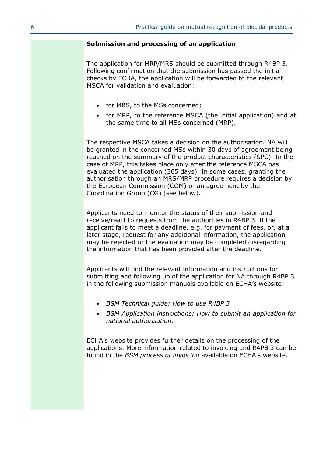#### **Submission and processing of an application**

The application for MRP/MRS should be submitted through R4BP 3. Following confirmation that the submission has passed the initial checks by ECHA, the application will be forwarded to the relevant MSCA for validation and evaluation:

- for MRS, to the MSs concerned;
- for MRP, to the reference MSCA (the initial application) and at the same time to all MSs concerned (MRP).

The respective MSCA takes a decision on the authorisation. NA will be granted in the concerned MSs within 30 days of agreement being reached on the summary of the product characteristics (SPC). In the case of MRP, this takes place only after the reference MSCA has evaluated the application (365 days). In some cases, granting the authorisation through an MRS/MRP procedure requires a decision by the European Commission (COM) or an agreement by the Coordination Group (CG) (see below).

Applicants need to monitor the status of their submission and receive/react to requests from the authorities in R4BP 3. If the applicant fails to meet a deadline, e.g. for payment of fees, or, at a later stage, request for any additional information, the application may be rejected or the evaluation may be completed disregarding the information that has been provided after the deadline.

Applicants will find the relevant information and instructions for submitting and following up of the application for NA through R4BP 3 in the following submission manuals available on ECHA's website:

- *BSM Technical guide: How to use R4BP 3*
- *BSM Application instructions: How to submit an application for national authorisation*.

ECHA's website provides further details on the processing of the applications. More information related to invoicing and R4PB 3 can be found in the *BSM process of invoicing* available on ECHA's website.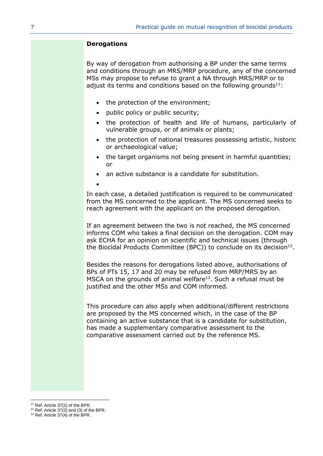#### **Derogations**

By way of derogation from authorising a BP under the same terms and conditions through an MRS/MRP procedure, any of the concerned MSs may propose to refuse to grant a NA through MRS/MRP or to adjust its terms and conditions based on the following grounds $11$ :

- the protection of the environment;
- public policy or public security;
- the protection of health and life of humans, particularly of vulnerable groups, or of animals or plants;
- the protection of national treasures possessing artistic, historic or archaeological value;
- the target organisms not being present in harmful quantities; or
- an active substance is a candidate for substitution.
- •

In each case, a detailed justification is required to be communicated from the MS concerned to the applicant. The MS concerned seeks to reach agreement with the applicant on the proposed derogation.

If an agreement between the two is not reached, the MS concerned informs COM who takes a final decision on the derogation. COM may ask ECHA for an opinion on scientific and technical issues (through the Biocidal Products Committee (BPC)) to conclude on its decision $^{12}$ .

Besides the reasons for derogations listed above, authorisations of BPs of PTs 15, 17 and 20 may be refused from MRP/MRS by an MSCA on the grounds of animal welfare<sup>13</sup>. Such a refusal must be justified and the other MSs and COM informed.

This procedure can also apply when additional/different restrictions are proposed by the MS concerned which, in the case of the BP containing an active substance that is a candidate for substitution, has made a supplementary comparative assessment to the comparative assessment carried out by the reference MS.

<sup>&</sup>lt;sup>11</sup> Ref: Article 37(1) of the BPR.

 $12$  Ref: Article 37(2) and (3) of the BPR.

<sup>&</sup>lt;sup>13</sup> Ref: Article  $37(4)$  of the BPR.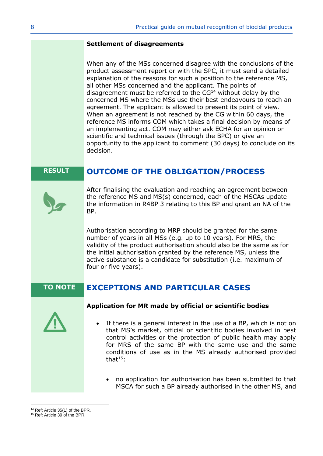#### **Settlement of disagreements**

When any of the MSs concerned disagree with the conclusions of the product assessment report or with the SPC, it must send a detailed explanation of the reasons for such a position to the reference MS, all other MSs concerned and the applicant. The points of disagreement must be referred to the  $CG<sup>14</sup>$  without delay by the concerned MS where the MSs use their best endeavours to reach an agreement. The applicant is allowed to present its point of view. When an agreement is not reached by the CG within 60 days, the reference MS informs COM which takes a final decision by means of an implementing act. COM may either ask ECHA for an opinion on scientific and technical issues (through the BPC) or give an opportunity to the applicant to comment (30 days) to conclude on its decision.

# **RESULT OUTCOME OF THE OBLIGATION/PROCESS**



After finalising the evaluation and reaching an agreement between the reference MS and MS(s) concerned, each of the MSCAs update the information in R4BP 3 relating to this BP and grant an NA of the BP.

Authorisation according to MRP should be granted for the same number of years in all MSs (e.g. up to 10 years). For MRS, the validity of the product authorisation should also be the same as for the initial authorisation granted by the reference MS, unless the active substance is a candidate for substitution (i.e. maximum of four or five years).

# **TO NOTE EXCEPTIONS AND PARTICULAR CASES**



#### **Application for MR made by official or scientific bodies**

- If there is a general interest in the use of a BP, which is not on that MS's market, official or scientific bodies involved in pest control activities or the protection of public health may apply for MRS of the same BP with the same use and the same conditions of use as in the MS already authorised provided that $15:$ 
	- no application for authorisation has been submitted to that MSCA for such a BP already authorised in the other MS, and

<sup>&</sup>lt;sup>14</sup> Ref: Article 35(1) of the BPR.

<sup>15</sup> Ref: Article 39 of the BPR.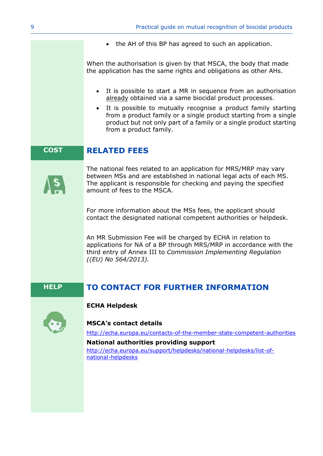• the AH of this BP has agreed to such an application.

When the authorisation is given by that MSCA, the body that made the application has the same rights and obligations as other AHs.

- It is possible to start a MR in sequence from an authorisation already obtained via a same biocidal product processes.
- It is possible to mutually recognise a product family starting from a product family or a single product starting from a single product but not only part of a family or a single product starting from a product family.

# **COST RELATED FEES**



The national fees related to an application for MRS/MRP may vary between MSs and are established in national legal acts of each MS. The applicant is responsible for checking and paying the specified amount of fees to the MSCA.

For more information about the MSs fees, the applicant should contact the designated national competent authorities or helpdesk.

An MR Submission Fee will be charged by ECHA in relation to applications for NA of a BP through MRS/MRP in accordance with the third entry of Annex III to *Commission Implementing Regulation ((EU) No 564/2013).*

# **HELP TO CONTACT FOR FURTHER INFORMATION**



# **ECHA Helpdesk**

#### **MSCA's contact details**

<http://echa.europa.eu/contacts-of-the-member-state-competent-authorities>

**National authorities providing support**  [http://echa.europa.eu/support/helpdesks/national-helpdesks/list-of](http://echa.europa.eu/support/helpdesks/national-helpdesks/list-of-national-helpdesks)[national-helpdesks](http://echa.europa.eu/support/helpdesks/national-helpdesks/list-of-national-helpdesks)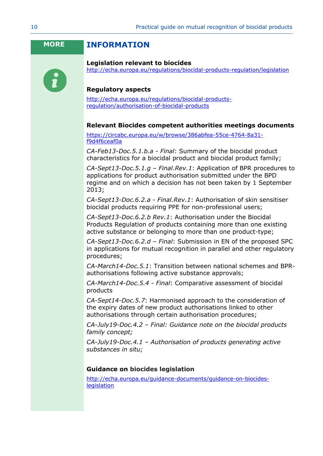# **MORE INFORMATION**



#### **Legislation relevant to biocides**

<http://echa.europa.eu/regulations/biocidal-products-regulation/legislation>

### **Regulatory aspects**

[http://echa.europa.eu/regulations/biocidal-products](http://echa.europa.eu/regulations/biocidal-products-regulation/authorisation-of-biocidal-products)[regulation/authorisation-of-biocidal-products](http://echa.europa.eu/regulations/biocidal-products-regulation/authorisation-of-biocidal-products)

#### **Relevant Biocides competent authorities meetings documents**

[https://circabc.europa.eu/w/browse/386abfea-55ce-4764-8a31](https://circabc.europa.eu/w/browse/386abfea-55ce-4764-8a31-f9d4f6ceaf0a) [f9d4f6ceaf0a](https://circabc.europa.eu/w/browse/386abfea-55ce-4764-8a31-f9d4f6ceaf0a)

*CA-Feb13-Doc.5.1.b.a - Final*: Summary of the biocidal product characteristics for a biocidal product and biocidal product family;

*CA-Sept13-Doc.5.1.g – Final.Rev.1*: Application of BPR procedures to applications for product authorisation submitted under the BPD regime and on which a decision has not been taken by 1 September 2013;

*CA-Sept13-Doc.6.2.a - Final.Rev.1*: Authorisation of skin sensitiser biocidal products requiring PPE for non-professional users;

*CA-Sept13-Doc.6.2.b Rev.1*: Authorisation under the Biocidal Products Regulation of products containing more than one existing active substance or belonging to more than one product-type;

*CA-Sept13-Doc.6.2.d – Final*: Submission in EN of the proposed SPC in applications for mutual recognition in parallel and other regulatory procedures;

*CA-March14-Doc.5.1*: Transition between national schemes and BPRauthorisations following active substance approvals;

*CA-March14-Doc.5.4 - Final*: Comparative assessment of biocidal products

*CA-Sept14-Doc.5.7*: Harmonised approach to the consideration of the expiry dates of new product authorisations linked to other authorisations through certain authorisation procedures;

*[CA-July19-Doc.4.2](https://circabc.europa.eu/sd/a/26dca2e3-c56e-4edf-9eec-bef9bd9f099f/CA-July19-Doc.4.2-%20Final%20-%20Guidance%20note%20on%20BPF%20concept_rev2.docx) – Final: Guidance note on the biocidal products family concept;*

*CA-July19-Doc.4.1 – Authorisation of products generating active substances in situ;*

#### **Guidance on biocides legislation**

[http://echa.europa.eu/guidance-documents/guidance-on-biocides](http://echa.europa.eu/guidance-documents/guidance-on-biocides-legislation)[legislation](http://echa.europa.eu/guidance-documents/guidance-on-biocides-legislation)